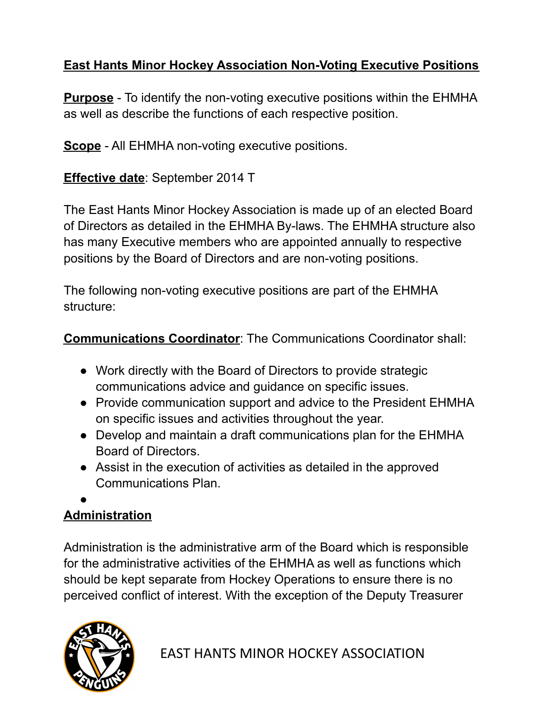## **East Hants Minor Hockey Association Non-Voting Executive Positions**

**Purpose** - To identify the non-voting executive positions within the EHMHA as well as describe the functions of each respective position.

**Scope** - All EHMHA non-voting executive positions.

**Effective date**: September 2014 T

The East Hants Minor Hockey Association is made up of an elected Board of Directors as detailed in the EHMHA By-laws. The EHMHA structure also has many Executive members who are appointed annually to respective positions by the Board of Directors and are non-voting positions.

The following non-voting executive positions are part of the EHMHA structure:

**Communications Coordinator**: The Communications Coordinator shall:

- Work directly with the Board of Directors to provide strategic communications advice and guidance on specific issues.
- Provide communication support and advice to the President EHMHA on specific issues and activities throughout the year.
- Develop and maintain a draft communications plan for the EHMHA Board of Directors.
- Assist in the execution of activities as detailed in the approved Communications Plan.
- ●

## **Administration**

Administration is the administrative arm of the Board which is responsible for the administrative activities of the EHMHA as well as functions which should be kept separate from Hockey Operations to ensure there is no perceived conflict of interest. With the exception of the Deputy Treasurer



EAST HANTS MINOR HOCKEY ASSOCIATION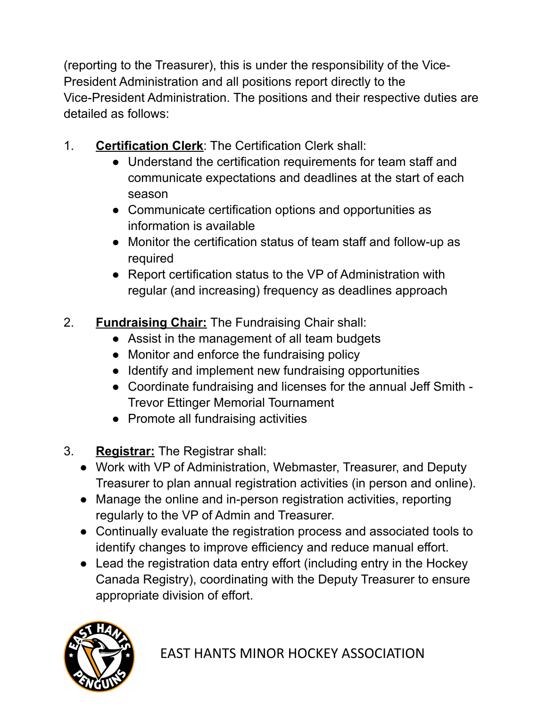(reporting to the Treasurer), this is under the responsibility of the Vice-President Administration and all positions report directly to the Vice-President Administration. The positions and their respective duties are detailed as follows:

- 1. **Certification Clerk**: The Certification Clerk shall:
	- Understand the certification requirements for team staff and communicate expectations and deadlines at the start of each season
	- Communicate certification options and opportunities as information is available
	- Monitor the certification status of team staff and follow-up as required
	- Report certification status to the VP of Administration with regular (and increasing) frequency as deadlines approach
- 2. **Fundraising Chair:** The Fundraising Chair shall:
	- Assist in the management of all team budgets
	- Monitor and enforce the fundraising policy
	- Identify and implement new fundraising opportunities
	- Coordinate fundraising and licenses for the annual Jeff Smith Trevor Ettinger Memorial Tournament
	- Promote all fundraising activities
- 3. **Registrar:** The Registrar shall:
	- Work with VP of Administration, Webmaster, Treasurer, and Deputy Treasurer to plan annual registration activities (in person and online).
	- Manage the online and in-person registration activities, reporting regularly to the VP of Admin and Treasurer.
	- Continually evaluate the registration process and associated tools to identify changes to improve efficiency and reduce manual effort.
	- Lead the registration data entry effort (including entry in the Hockey Canada Registry), coordinating with the Deputy Treasurer to ensure appropriate division of effort.

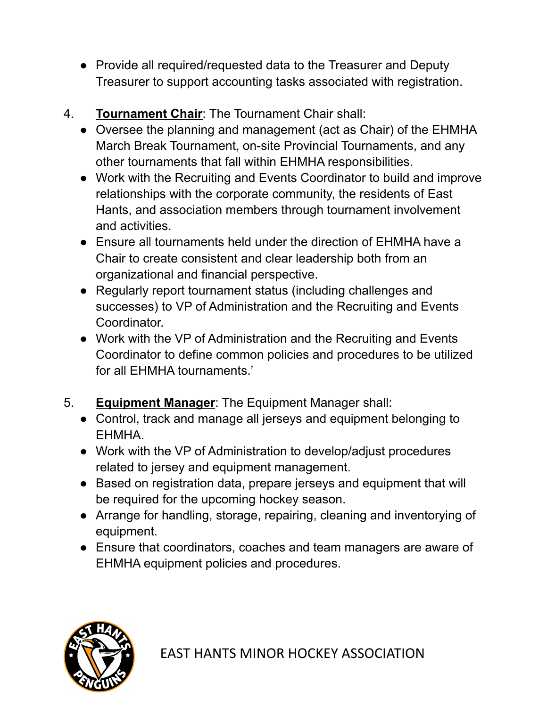- Provide all required/requested data to the Treasurer and Deputy Treasurer to support accounting tasks associated with registration.
- 4. **Tournament Chair**: The Tournament Chair shall:
	- Oversee the planning and management (act as Chair) of the EHMHA March Break Tournament, on-site Provincial Tournaments, and any other tournaments that fall within EHMHA responsibilities.
	- Work with the Recruiting and Events Coordinator to build and improve relationships with the corporate community, the residents of East Hants, and association members through tournament involvement and activities.
	- Ensure all tournaments held under the direction of EHMHA have a Chair to create consistent and clear leadership both from an organizational and financial perspective.
	- Regularly report tournament status (including challenges and successes) to VP of Administration and the Recruiting and Events Coordinator.
	- Work with the VP of Administration and the Recruiting and Events Coordinator to define common policies and procedures to be utilized for all EHMHA tournaments.'
- 5. **Equipment Manager**: The Equipment Manager shall:
	- Control, track and manage all jerseys and equipment belonging to EHMHA.
	- Work with the VP of Administration to develop/adjust procedures related to jersey and equipment management.
	- Based on registration data, prepare jerseys and equipment that will be required for the upcoming hockey season.
	- Arrange for handling, storage, repairing, cleaning and inventorying of equipment.
	- Ensure that coordinators, coaches and team managers are aware of EHMHA equipment policies and procedures.

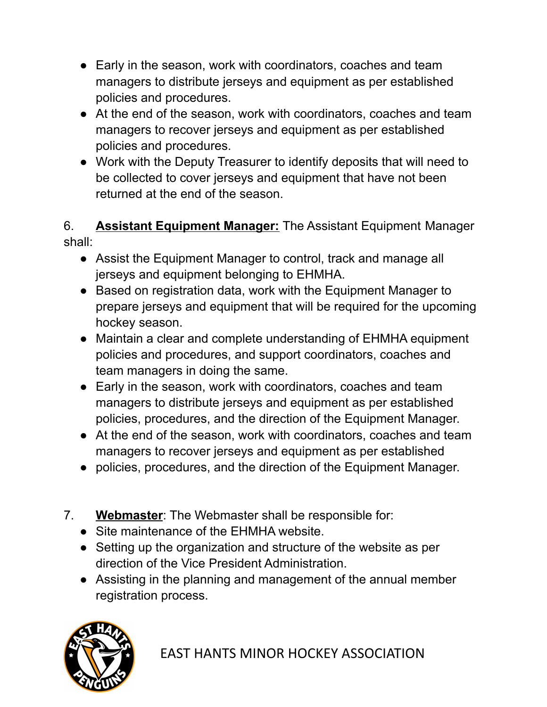- Early in the season, work with coordinators, coaches and team managers to distribute jerseys and equipment as per established policies and procedures.
- At the end of the season, work with coordinators, coaches and team managers to recover jerseys and equipment as per established policies and procedures.
- Work with the Deputy Treasurer to identify deposits that will need to be collected to cover jerseys and equipment that have not been returned at the end of the season.

6. **Assistant Equipment Manager:** The Assistant Equipment Manager shall:

- Assist the Equipment Manager to control, track and manage all jerseys and equipment belonging to EHMHA.
- Based on registration data, work with the Equipment Manager to prepare jerseys and equipment that will be required for the upcoming hockey season.
- Maintain a clear and complete understanding of EHMHA equipment policies and procedures, and support coordinators, coaches and team managers in doing the same.
- Early in the season, work with coordinators, coaches and team managers to distribute jerseys and equipment as per established policies, procedures, and the direction of the Equipment Manager.
- At the end of the season, work with coordinators, coaches and team managers to recover jerseys and equipment as per established
- policies, procedures, and the direction of the Equipment Manager.
- 7. **Webmaster**: The Webmaster shall be responsible for:
	- Site maintenance of the EHMHA website.
	- Setting up the organization and structure of the website as per direction of the Vice President Administration.
	- Assisting in the planning and management of the annual member registration process.

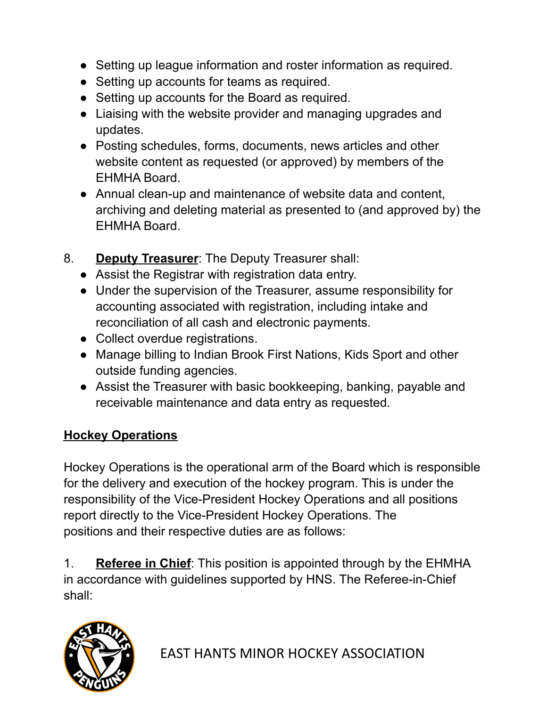- Setting up league information and roster information as required.
- Setting up accounts for teams as required.
- Setting up accounts for the Board as required.
- Liaising with the website provider and managing upgrades and updates.
- Posting schedules, forms, documents, news articles and other website content as requested (or approved) by members of the EHMHA Board.
- Annual clean-up and maintenance of website data and content, archiving and deleting material as presented to (and approved by) the EHMHA Board.
- 8. **Deputy Treasurer**: The Deputy Treasurer shall:
	- Assist the Registrar with registration data entry.
	- Under the supervision of the Treasurer, assume responsibility for accounting associated with registration, including intake and reconciliation of all cash and electronic payments.
	- Collect overdue registrations.
	- Manage billing to Indian Brook First Nations, Kids Sport and other outside funding agencies.
	- Assist the Treasurer with basic bookkeeping, banking, payable and receivable maintenance and data entry as requested.

## **Hockey Operations**

Hockey Operations is the operational arm of the Board which is responsible for the delivery and execution of the hockey program. This is under the responsibility of the Vice-President Hockey Operations and all positions report directly to the Vice-President Hockey Operations. The positions and their respective duties are as follows:

1. **Referee in Chief**: This position is appointed through by the EHMHA in accordance with guidelines supported by HNS. The Referee-in-Chief shall:

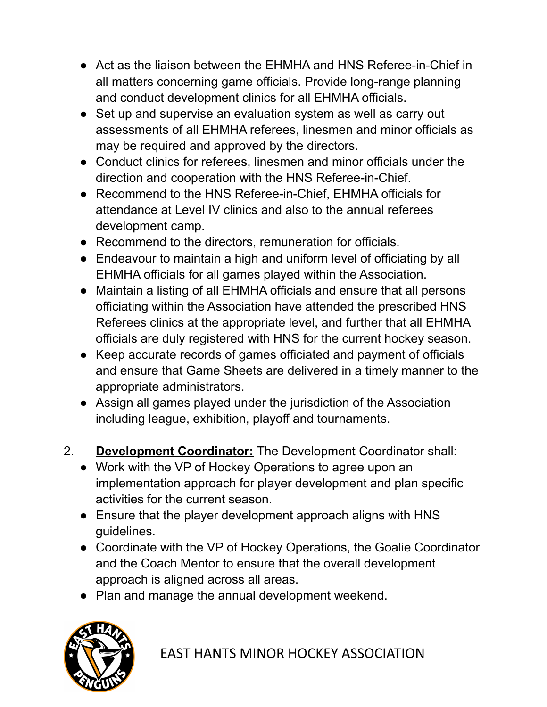- Act as the liaison between the EHMHA and HNS Referee-in-Chief in all matters concerning game officials. Provide long-range planning and conduct development clinics for all EHMHA officials.
- Set up and supervise an evaluation system as well as carry out assessments of all EHMHA referees, linesmen and minor officials as may be required and approved by the directors.
- Conduct clinics for referees, linesmen and minor officials under the direction and cooperation with the HNS Referee-in-Chief.
- Recommend to the HNS Referee-in-Chief, EHMHA officials for attendance at Level IV clinics and also to the annual referees development camp.
- Recommend to the directors, remuneration for officials.
- Endeavour to maintain a high and uniform level of officiating by all EHMHA officials for all games played within the Association.
- Maintain a listing of all EHMHA officials and ensure that all persons officiating within the Association have attended the prescribed HNS Referees clinics at the appropriate level, and further that all EHMHA officials are duly registered with HNS for the current hockey season.
- Keep accurate records of games officiated and payment of officials and ensure that Game Sheets are delivered in a timely manner to the appropriate administrators.
- Assign all games played under the jurisdiction of the Association including league, exhibition, playoff and tournaments.
- 2. **Development Coordinator:** The Development Coordinator shall:
	- Work with the VP of Hockey Operations to agree upon an implementation approach for player development and plan specific activities for the current season.
	- Ensure that the player development approach aligns with HNS guidelines.
	- Coordinate with the VP of Hockey Operations, the Goalie Coordinator and the Coach Mentor to ensure that the overall development approach is aligned across all areas.
	- Plan and manage the annual development weekend.



EAST HANTS MINOR HOCKEY ASSOCIATION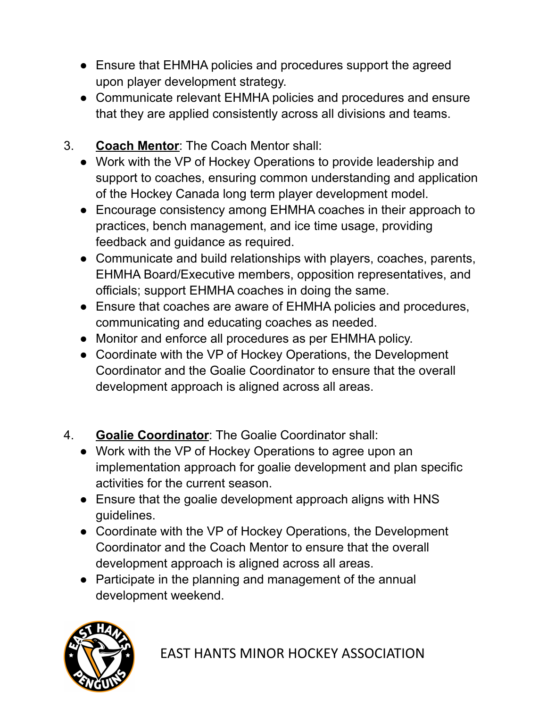- Ensure that EHMHA policies and procedures support the agreed upon player development strategy.
- Communicate relevant EHMHA policies and procedures and ensure that they are applied consistently across all divisions and teams.
- 3. **Coach Mentor**: The Coach Mentor shall:
	- Work with the VP of Hockey Operations to provide leadership and support to coaches, ensuring common understanding and application of the Hockey Canada long term player development model.
	- Encourage consistency among EHMHA coaches in their approach to practices, bench management, and ice time usage, providing feedback and guidance as required.
	- Communicate and build relationships with players, coaches, parents, EHMHA Board/Executive members, opposition representatives, and officials; support EHMHA coaches in doing the same.
	- Ensure that coaches are aware of EHMHA policies and procedures, communicating and educating coaches as needed.
	- Monitor and enforce all procedures as per EHMHA policy.
	- Coordinate with the VP of Hockey Operations, the Development Coordinator and the Goalie Coordinator to ensure that the overall development approach is aligned across all areas.
- 4. **Goalie Coordinator**: The Goalie Coordinator shall:
	- Work with the VP of Hockey Operations to agree upon an implementation approach for goalie development and plan specific activities for the current season.
	- Ensure that the goalie development approach aligns with HNS guidelines.
	- Coordinate with the VP of Hockey Operations, the Development Coordinator and the Coach Mentor to ensure that the overall development approach is aligned across all areas.
	- Participate in the planning and management of the annual development weekend.

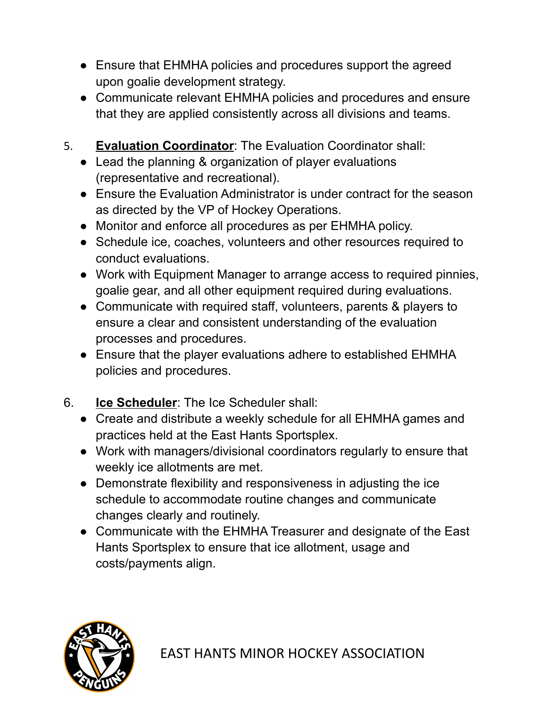- Ensure that EHMHA policies and procedures support the agreed upon goalie development strategy.
- Communicate relevant EHMHA policies and procedures and ensure that they are applied consistently across all divisions and teams.
- 5. **Evaluation Coordinator**: The Evaluation Coordinator shall:
	- Lead the planning & organization of player evaluations (representative and recreational).
	- Ensure the Evaluation Administrator is under contract for the season as directed by the VP of Hockey Operations.
	- Monitor and enforce all procedures as per EHMHA policy.
	- Schedule ice, coaches, volunteers and other resources required to conduct evaluations.
	- Work with Equipment Manager to arrange access to required pinnies, goalie gear, and all other equipment required during evaluations.
	- Communicate with required staff, volunteers, parents & players to ensure a clear and consistent understanding of the evaluation processes and procedures.
	- Ensure that the player evaluations adhere to established EHMHA policies and procedures.
- 6. **Ice Scheduler**: The Ice Scheduler shall:
	- Create and distribute a weekly schedule for all EHMHA games and practices held at the East Hants Sportsplex.
	- Work with managers/divisional coordinators regularly to ensure that weekly ice allotments are met.
	- Demonstrate flexibility and responsiveness in adjusting the ice schedule to accommodate routine changes and communicate changes clearly and routinely.
	- Communicate with the EHMHA Treasurer and designate of the East Hants Sportsplex to ensure that ice allotment, usage and costs/payments align.

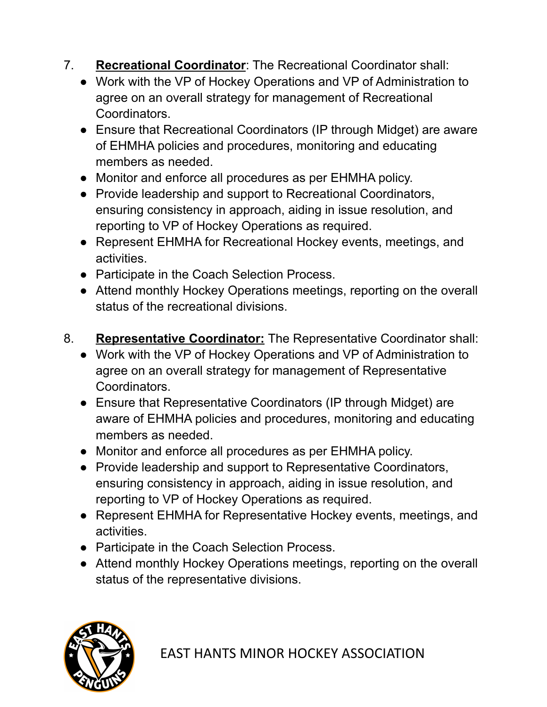7. **Recreational Coordinator**: The Recreational Coordinator shall:

- Work with the VP of Hockey Operations and VP of Administration to agree on an overall strategy for management of Recreational Coordinators.
- Ensure that Recreational Coordinators (IP through Midget) are aware of EHMHA policies and procedures, monitoring and educating members as needed.
- Monitor and enforce all procedures as per EHMHA policy.
- Provide leadership and support to Recreational Coordinators, ensuring consistency in approach, aiding in issue resolution, and reporting to VP of Hockey Operations as required.
- Represent EHMHA for Recreational Hockey events, meetings, and activities.
- Participate in the Coach Selection Process.
- Attend monthly Hockey Operations meetings, reporting on the overall status of the recreational divisions.
- 8. **Representative Coordinator:** The Representative Coordinator shall:
	- Work with the VP of Hockey Operations and VP of Administration to agree on an overall strategy for management of Representative Coordinators.
	- Ensure that Representative Coordinators (IP through Midget) are aware of EHMHA policies and procedures, monitoring and educating members as needed.
	- Monitor and enforce all procedures as per EHMHA policy.
	- Provide leadership and support to Representative Coordinators, ensuring consistency in approach, aiding in issue resolution, and reporting to VP of Hockey Operations as required.
	- Represent EHMHA for Representative Hockey events, meetings, and activities.
	- Participate in the Coach Selection Process.
	- Attend monthly Hockey Operations meetings, reporting on the overall status of the representative divisions.